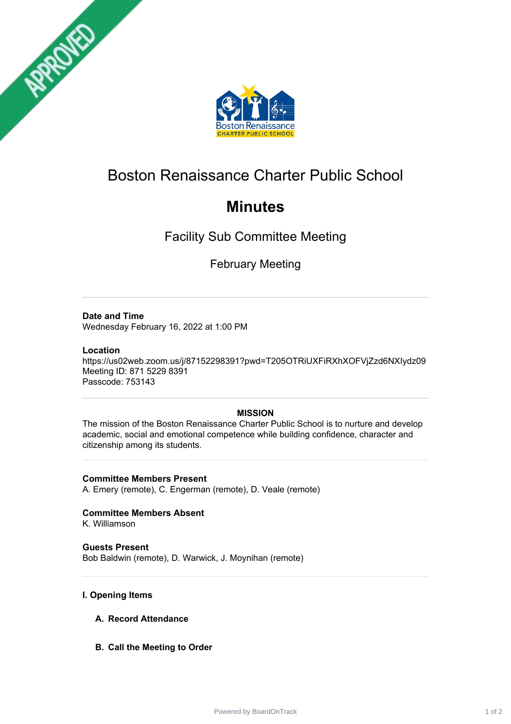



# Boston Renaissance Charter Public School

# **Minutes**

Facility Sub Committee Meeting

February Meeting

## **Date and Time**

Wednesday February 16, 2022 at 1:00 PM

### **Location**

https://us02web.zoom.us/j/87152298391?pwd=T205OTRiUXFiRXhXOFVjZzd6NXIydz09 Meeting ID: 871 5229 8391 Passcode: 753143

## **MISSION**

The mission of the Boston Renaissance Charter Public School is to nurture and develop academic, social and emotional competence while building confidence, character and citizenship among its students.

**Committee Members Present** A. Emery (remote), C. Engerman (remote), D. Veale (remote)

**Committee Members Absent**

K. Williamson

**Guests Present** Bob Baldwin (remote), D. Warwick, J. Moynihan (remote)

## **I. Opening Items**

- **A. Record Attendance**
- **B. Call the Meeting to Order**